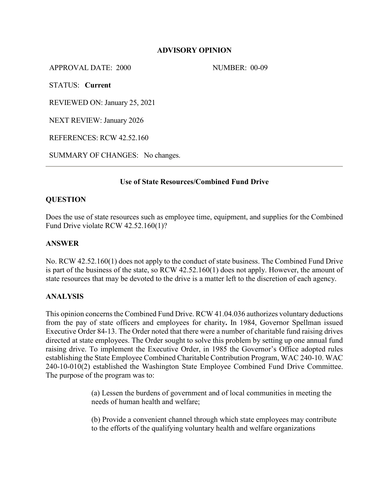# **ADVISORY OPINION**

APPROVAL DATE: 2000 NUMBER: 00-09

STATUS: **Current**

REVIEWED ON: January 25, 2021

NEXT REVIEW: January 2026

REFERENCES: RCW 42.52.160

SUMMARY OF CHANGES: No changes.

# **Use of State Resources/Combined Fund Drive**

# **QUESTION**

Does the use of state resources such as employee time, equipment, and supplies for the Combined Fund Drive violate RCW 42.52.160(1)?

#### **ANSWER**

No. RCW 42.52.160(1) does not apply to the conduct of state business. The Combined Fund Drive is part of the business of the state, so RCW 42.52.160(1) does not apply. However, the amount of state resources that may be devoted to the drive is a matter left to the discretion of each agency.

#### **ANALYSIS**

This opinion concerns the Combined Fund Drive. RCW 41.04.036 authorizes voluntary deductions from the pay of state officers and employees for charity**.** In 1984, Governor Spellman issued Executive Order 84-13. The Order noted that there were a number of charitable fund raising drives directed at state employees. The Order sought to solve this problem by setting up one annual fund raising drive. To implement the Executive Order, in 1985 the Governor's Office adopted rules establishing the State Employee Combined Charitable Contribution Program, WAC 240-10. WAC 240-10-010(2) established the Washington State Employee Combined Fund Drive Committee. The purpose of the program was to:

> (a) Lessen the burdens of government and of local communities in meeting the needs of human health and welfare;

(b) Provide a convenient channel through which state employees may contribute to the efforts of the qualifying voluntary health and welfare organizations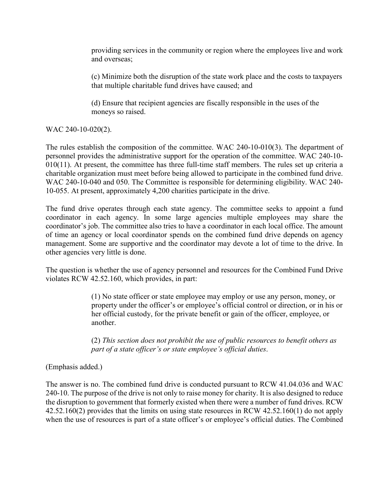providing services in the community or region where the employees live and work and overseas;

(c) Minimize both the disruption of the state work place and the costs to taxpayers that multiple charitable fund drives have caused; and

(d) Ensure that recipient agencies are fiscally responsible in the uses of the moneys so raised.

WAC 240-10-020(2).

The rules establish the composition of the committee. WAC 240-10-010(3). The department of personnel provides the administrative support for the operation of the committee. WAC 240-10- 010(11). At present, the committee has three full-time staff members. The rules set up criteria a charitable organization must meet before being allowed to participate in the combined fund drive. WAC 240-10-040 and 050. The Committee is responsible for determining eligibility. WAC 240- 10-055. At present, approximately 4,200 charities participate in the drive.

The fund drive operates through each state agency. The committee seeks to appoint a fund coordinator in each agency. In some large agencies multiple employees may share the coordinator's job. The committee also tries to have a coordinator in each local office. The amount of time an agency or local coordinator spends on the combined fund drive depends on agency management. Some are supportive and the coordinator may devote a lot of time to the drive. In other agencies very little is done.

The question is whether the use of agency personnel and resources for the Combined Fund Drive violates RCW 42.52.160, which provides, in part:

> (1) No state officer or state employee may employ or use any person, money, or property under the officer's or employee's official control or direction, or in his or her official custody, for the private benefit or gain of the officer, employee, or another.

(2) *This section does not prohibit the use of public resources to benefit others as part of a state officer's or state employee's official duties*.

(Emphasis added.)

The answer is no. The combined fund drive is conducted pursuant to RCW 41.04.036 and WAC 240-10. The purpose of the drive is not only to raise money for charity. It is also designed to reduce the disruption to government that formerly existed when there were a number of fund drives. RCW 42.52.160(2) provides that the limits on using state resources in RCW 42.52.160(1) do not apply when the use of resources is part of a state officer's or employee's official duties. The Combined